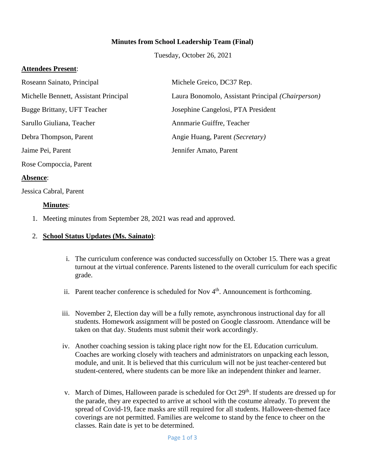## **Minutes from School Leadership Team (Final)**

Tuesday, October 26, 2021

### **Attendees Present**:

| Roseann Sainato, Principal            | Michele Greico, DC37 Rep.                         |
|---------------------------------------|---------------------------------------------------|
| Michelle Bennett, Assistant Principal | Laura Bonomolo, Assistant Principal (Chairperson) |
| Bugge Brittany, UFT Teacher           | Josephine Cangelosi, PTA President                |
| Sarullo Giuliana, Teacher             | Annmarie Guiffre, Teacher                         |
| Debra Thompson, Parent                | Angie Huang, Parent (Secretary)                   |
| Jaime Pei, Parent                     | Jennifer Amato, Parent                            |
| Rose Compoccia, Parent                |                                                   |

#### **Absence**:

Jessica Cabral, Parent

#### **Minutes**:

1. Meeting minutes from September 28, 2021 was read and approved.

#### 2. **School Status Updates (Ms. Sainato)**:

- i. The curriculum conference was conducted successfully on October 15. There was a great turnout at the virtual conference. Parents listened to the overall curriculum for each specific grade.
- ii. Parent teacher conference is scheduled for Nov  $4<sup>th</sup>$ . Announcement is forthcoming.
- iii. November 2, Election day will be a fully remote, asynchronous instructional day for all students. Homework assignment will be posted on Google classroom. Attendance will be taken on that day. Students must submit their work accordingly.
- iv. Another coaching session is taking place right now for the EL Education curriculum. Coaches are working closely with teachers and administrators on unpacking each lesson, module, and unit. It is believed that this curriculum will not be just teacher-centered but student-centered, where students can be more like an independent thinker and learner.
- v. March of Dimes, Halloween parade is scheduled for Oct 29<sup>th</sup>. If students are dressed up for the parade, they are expected to arrive at school with the costume already. To prevent the spread of Covid-19, face masks are still required for all students. Halloween-themed face coverings are not permitted. Families are welcome to stand by the fence to cheer on the classes. Rain date is yet to be determined.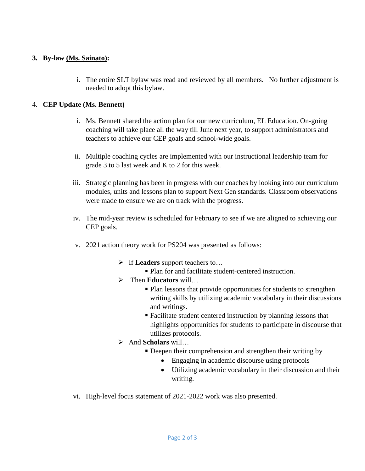# **3. By-law (Ms. Sainato):**

i. The entire SLT bylaw was read and reviewed by all members. No further adjustment is needed to adopt this bylaw.

# 4. **CEP Update (Ms. Bennett)**

- i. Ms. Bennett shared the action plan for our new curriculum, EL Education. On-going coaching will take place all the way till June next year, to support administrators and teachers to achieve our CEP goals and school-wide goals.
- ii. Multiple coaching cycles are implemented with our instructional leadership team for grade 3 to 5 last week and K to 2 for this week.
- iii. Strategic planning has been in progress with our coaches by looking into our curriculum modules, units and lessons plan to support Next Gen standards. Classroom observations were made to ensure we are on track with the progress.
- iv. The mid-year review is scheduled for February to see if we are aligned to achieving our CEP goals.
- v. 2021 action theory work for PS204 was presented as follows:
	- If **Leaders** support teachers to…
		- Plan for and facilitate student-centered instruction.
	- Then **Educators** will…
		- Plan lessons that provide opportunities for students to strengthen writing skills by utilizing academic vocabulary in their discussions and writings.
		- Facilitate student centered instruction by planning lessons that highlights opportunities for students to participate in discourse that utilizes protocols.
	- And **Scholars** will…
		- Deepen their comprehension and strengthen their writing by
			- Engaging in academic discourse using protocols
			- Utilizing academic vocabulary in their discussion and their writing.
- vi. High-level focus statement of 2021-2022 work was also presented.